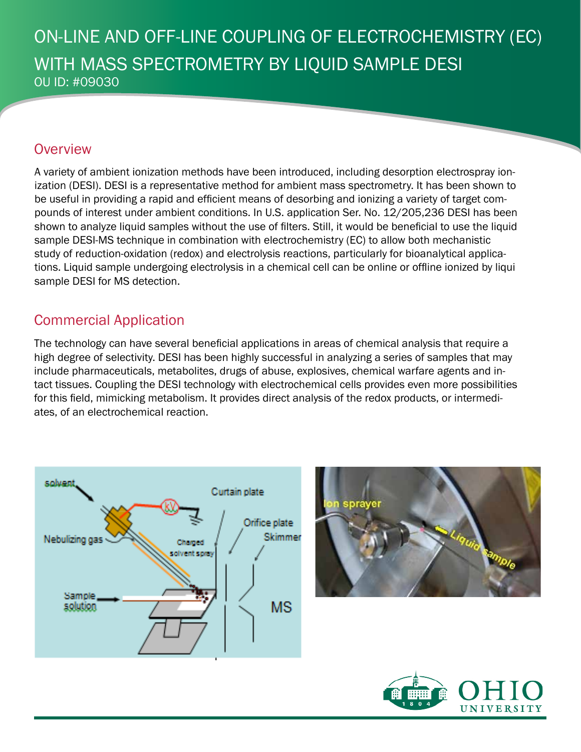# ON-LINE AND OFF-LINE COUPLING OF ELECTROCHEMISTRY (EC) WITH MASS SPECTROMETRY BY LIQUID SAMPLE DESI OU ID: #09030

#### **Overview**

A variety of ambient ionization methods have been introduced, including desorption electrospray ionization (DESI). DESI is a representative method for ambient mass spectrometry. It has been shown to be useful in providing a rapid and efficient means of desorbing and ionizing a variety of target compounds of interest under ambient conditions. In U.S. application Ser. No. 12/205,236 DESI has been shown to analyze liquid samples without the use of filters. Still, it would be beneficial to use the liquid sample DESI-MS technique in combination with electrochemistry (EC) to allow both mechanistic study of reduction-oxidation (redox) and electrolysis reactions, particularly for bioanalytical applications. Liquid sample undergoing electrolysis in a chemical cell can be online or offline ionized by liqui sample DESI for MS detection.

# Commercial Application

The technology can have several beneficial applications in areas of chemical analysis that require a high degree of selectivity. DESI has been highly successful in analyzing a series of samples that may include pharmaceuticals, metabolites, drugs of abuse, explosives, chemical warfare agents and intact tissues. Coupling the DESI technology with electrochemical cells provides even more possibilities for this field, mimicking metabolism. It provides direct analysis of the redox products, or intermediates, of an electrochemical reaction.